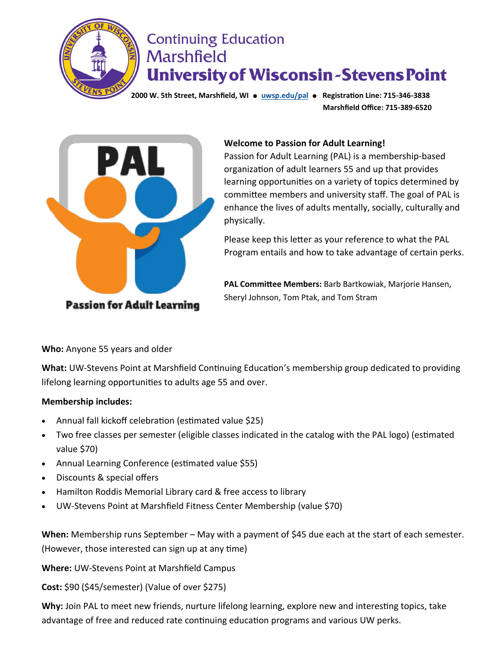

## **Continuing Education Marshfield University of Wisconsin-Stevens Point**

**2000 W. 5th Street, Marshfield, WI** ● **[uwsp.edu/pal](https://www.uwsp.edu/conted/Pages/PAL.aspx)** ● **Registration Line: 715-346-3838 Marshfield Office: 715-389-6520**



#### **Welcome to Passion for Adult Learning!**

Passion for Adult Learning (PAL) is a membership-based organization of adult learners 55 and up that provides learning opportunities on a variety of topics determined by committee members and university staff. The goal of PAL is enhance the lives of adults mentally, socially, culturally and physically.

Please keep this letter as your reference to what the PAL Program entails and how to take advantage of certain perks.

**PAL Committee Members:** Barb Bartkowiak, Marjorie Hansen, Sheryl Johnson, Tom Ptak, and Tom Stram

**Who:** Anyone 55 years and older

**What:** UW-Stevens Point at Marshfield Continuing Education's membership group dedicated to providing lifelong learning opportunities to adults age 55 and over.

#### **Membership includes:**

- Annual fall kickoff celebration (estimated value \$25)
- Two free classes per semester (eligible classes indicated in the catalog with the PAL logo) (estimated value \$70)
- Annual Learning Conference (estimated value \$55)
- Discounts & special offers
- Hamilton Roddis Memorial Library card & free access to library
- UW-Stevens Point at Marshfield Fitness Center Membership (value \$70)

**When:** Membership runs September – May with a payment of \$45 due each at the start of each semester. (However, those interested can sign up at any time)

**Where:** UW-Stevens Point at Marshfield Campus

**Cost:** \$90 (\$45/semester) (Value of over \$275)

**Why:** Join PAL to meet new friends, nurture lifelong learning, explore new and interesting topics, take advantage of free and reduced rate continuing education programs and various UW perks.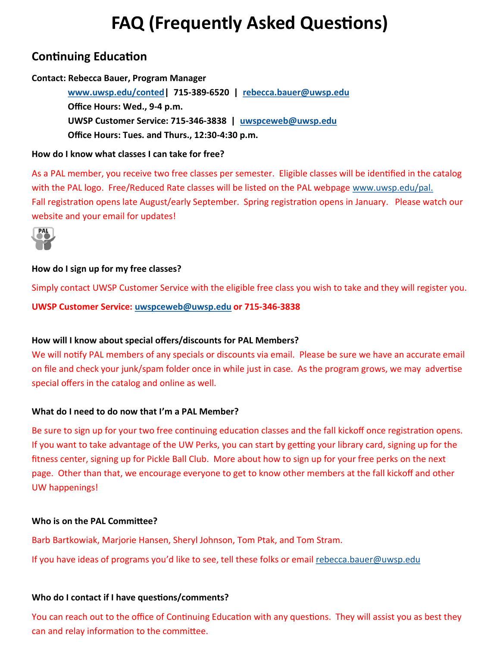# **FAQ (Frequently Asked Questions)**

## **Continuing Education**

#### **Contact: Rebecca Bauer, Program Manager**

 **[www.uwsp.edu/conted|](https://www.uwsp.edu/marshfield/conted/Pages/default.aspx) 715-389-6520 | [rebecca.bauer@uwsp.edu](mailto:rebecca.bauer@uwsp.edu) Office Hours: Wed., 9-4 p.m. UWSP Customer Service: 715-346-3838 | [uwspceweb@uwsp.edu](mailto:uwspceweb@uwsp.edu) Office Hours: Tues. and Thurs., 12:30-4:30 p.m.**

#### **How do I know what classes I can take for free?**

As a PAL member, you receive two free classes per semester. Eligible classes will be identified in the catalog with the PAL logo. Free/Reduced Rate classes will be listed on the PAL webpage [www.uwsp.edu/pal.](https://www.uwsp.edu/conted/Pages/PAL.aspx)  Fall registration opens late August/early September. Spring registration opens in January. Please watch our website and your email for updates!



#### **How do I sign up for my free classes?**

Simply contact UWSP Customer Service with the eligible free class you wish to take and they will register you. **UWSP Customer Service: [uwspceweb@uwsp.edu](mailto:uwspceweb@uwsp.edu) or 715-346-3838**

#### **How will I know about special offers/discounts for PAL Members?**

We will notify PAL members of any specials or discounts via email. Please be sure we have an accurate email on file and check your junk/spam folder once in while just in case. As the program grows, we may advertise special offers in the catalog and online as well.

#### **What do I need to do now that I'm a PAL Member?**

Be sure to sign up for your two free continuing education classes and the fall kickoff once registration opens. If you want to take advantage of the UW Perks, you can start by getting your library card, signing up for the fitness center, signing up for Pickle Ball Club. More about how to sign up for your free perks on the next page. Other than that, we encourage everyone to get to know other members at the fall kickoff and other UW happenings!

#### **Who is on the PAL Committee?**

Barb Bartkowiak, Marjorie Hansen, Sheryl Johnson, Tom Ptak, and Tom Stram.

If you have ideas of programs you'd like to see, tell these folks or email [rebecca.bauer@uwsp.edu](mailto:rebecca.bauer@uwsp.edu)

#### **Who do I contact if I have questions/comments?**

You can reach out to the office of Continuing Education with any questions. They will assist you as best they can and relay information to the committee.